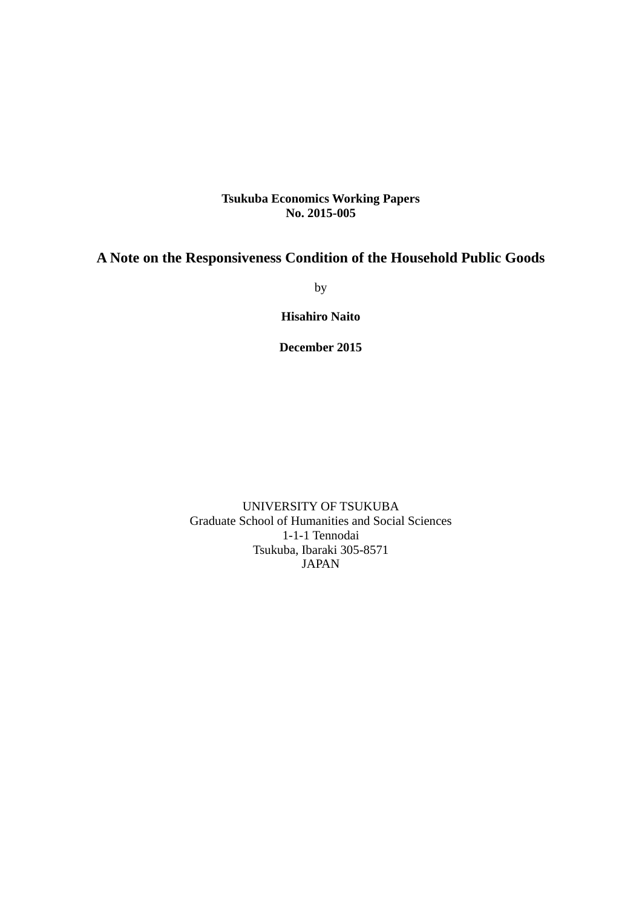### **Tsukuba Economics Working Papers No. 2015-005**

## **A Note on the Responsiveness Condition of the Household Public Goods**

by

**Hisahiro Naito** 

**December 2015** 

UNIVERSITY OF TSUKUBA Graduate School of Humanities and Social Sciences 1-1-1 Tennodai Tsukuba, Ibaraki 305-8571 JAPAN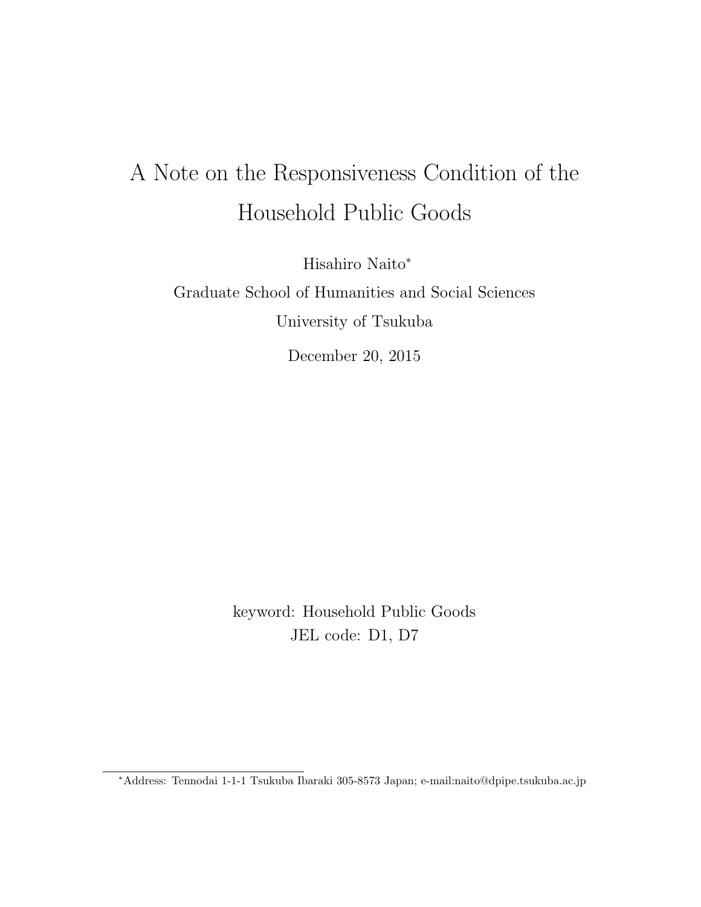# A Note on the Responsiveness Condition of the Household Public Goods

Hisahiro Naito<sup>∗</sup>

Graduate School of Humanities and Social Sciences University of Tsukuba

December 20, 2015

keyword: Household Public Goods JEL code: D1, D7

<sup>∗</sup>Address: Tennodai 1-1-1 Tsukuba Ibaraki 305-8573 Japan; e-mail:naito@dpipe.tsukuba.ac.jp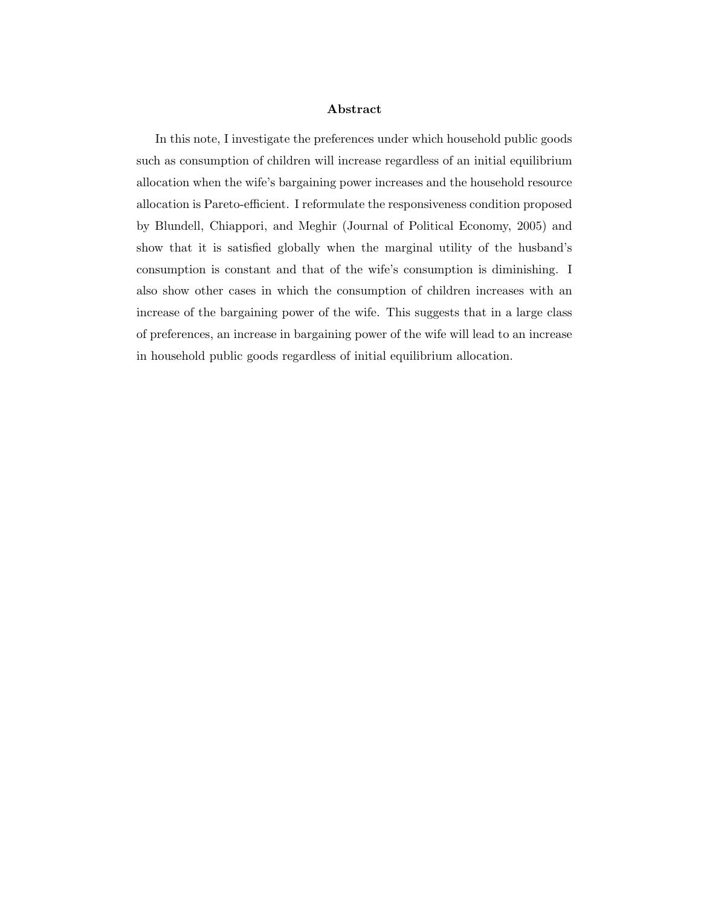#### Abstract

In this note, I investigate the preferences under which household public goods such as consumption of children will increase regardless of an initial equilibrium allocation when the wife's bargaining power increases and the household resource allocation is Pareto-efficient. I reformulate the responsiveness condition proposed by Blundell, Chiappori, and Meghir (Journal of Political Economy, 2005) and show that it is satisfied globally when the marginal utility of the husband's consumption is constant and that of the wife's consumption is diminishing. I also show other cases in which the consumption of children increases with an increase of the bargaining power of the wife. This suggests that in a large class of preferences, an increase in bargaining power of the wife will lead to an increase in household public goods regardless of initial equilibrium allocation.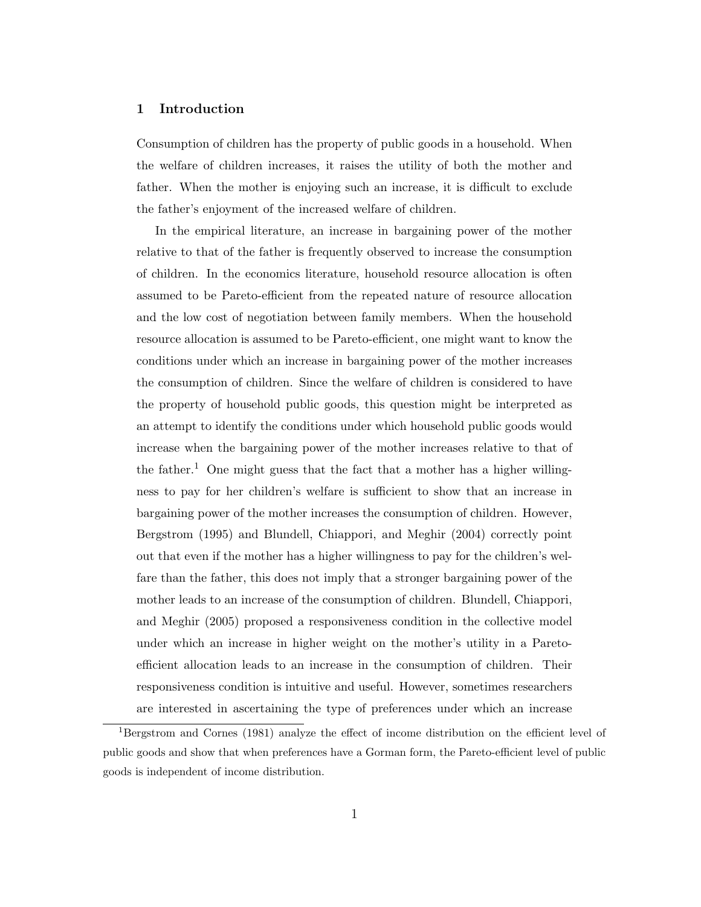#### 1 Introduction

Consumption of children has the property of public goods in a household. When the welfare of children increases, it raises the utility of both the mother and father. When the mother is enjoying such an increase, it is difficult to exclude the father's enjoyment of the increased welfare of children.

In the empirical literature, an increase in bargaining power of the mother relative to that of the father is frequently observed to increase the consumption of children. In the economics literature, household resource allocation is often assumed to be Pareto-efficient from the repeated nature of resource allocation and the low cost of negotiation between family members. When the household resource allocation is assumed to be Pareto-efficient, one might want to know the conditions under which an increase in bargaining power of the mother increases the consumption of children. Since the welfare of children is considered to have the property of household public goods, this question might be interpreted as an attempt to identify the conditions under which household public goods would increase when the bargaining power of the mother increases relative to that of the father.<sup>1</sup> One might guess that the fact that a mother has a higher willingness to pay for her children's welfare is sufficient to show that an increase in bargaining power of the mother increases the consumption of children. However, Bergstrom (1995) and Blundell, Chiappori, and Meghir (2004) correctly point out that even if the mother has a higher willingness to pay for the children's welfare than the father, this does not imply that a stronger bargaining power of the mother leads to an increase of the consumption of children. Blundell, Chiappori, and Meghir (2005) proposed a responsiveness condition in the collective model under which an increase in higher weight on the mother's utility in a Paretoefficient allocation leads to an increase in the consumption of children. Their responsiveness condition is intuitive and useful. However, sometimes researchers are interested in ascertaining the type of preferences under which an increase

<sup>&</sup>lt;sup>1</sup>Bergstrom and Cornes (1981) analyze the effect of income distribution on the efficient level of public goods and show that when preferences have a Gorman form, the Pareto-efficient level of public goods is independent of income distribution.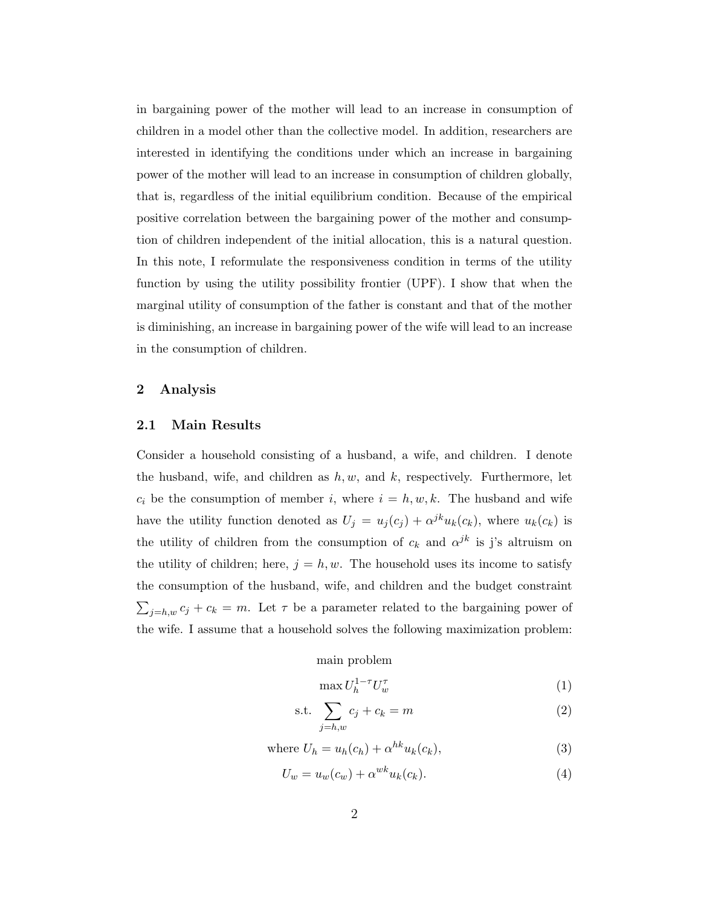in bargaining power of the mother will lead to an increase in consumption of children in a model other than the collective model. In addition, researchers are interested in identifying the conditions under which an increase in bargaining power of the mother will lead to an increase in consumption of children globally, that is, regardless of the initial equilibrium condition. Because of the empirical positive correlation between the bargaining power of the mother and consumption of children independent of the initial allocation, this is a natural question. In this note, I reformulate the responsiveness condition in terms of the utility function by using the utility possibility frontier (UPF). I show that when the marginal utility of consumption of the father is constant and that of the mother is diminishing, an increase in bargaining power of the wife will lead to an increase in the consumption of children.

#### 2 Analysis

#### 2.1 Main Results

Consider a household consisting of a husband, a wife, and children. I denote the husband, wife, and children as  $h, w$ , and  $k$ , respectively. Furthermore, let  $c_i$  be the consumption of member i, where  $i = h, w, k$ . The husband and wife have the utility function denoted as  $U_j = u_j(c_j) + \alpha^{jk} u_k(c_k)$ , where  $u_k(c_k)$  is the utility of children from the consumption of  $c_k$  and  $\alpha^{jk}$  is j's altruism on the utility of children; here,  $j = h, w$ . The household uses its income to satisfy the consumption of the husband, wife, and children and the budget constraint  $\sum_{j=h,w} c_j + c_k = m$ . Let  $\tau$  be a parameter related to the bargaining power of the wife. I assume that a household solves the following maximization problem:

#### main problem

$$
\max U_h^{1-\tau} U_w^{\tau} \tag{1}
$$

$$
\text{s.t. } \sum_{j=h,w} c_j + c_k = m \tag{2}
$$

where 
$$
U_h = u_h(c_h) + \alpha^{hk} u_k(c_k)
$$
, (3)

$$
U_w = u_w(c_w) + \alpha^{wk} u_k(c_k). \tag{4}
$$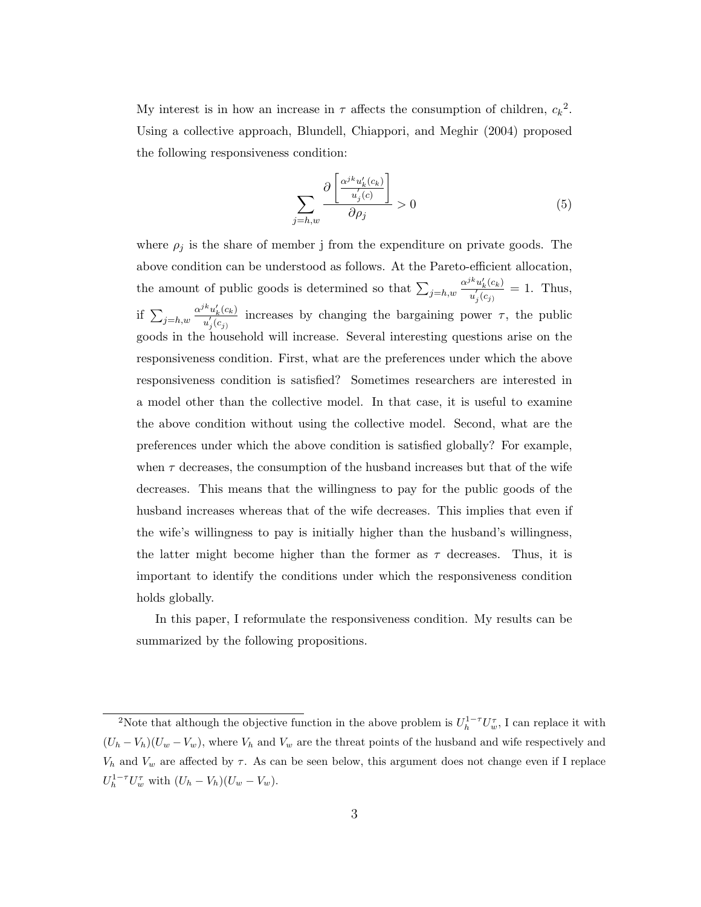My interest is in how an increase in  $\tau$  affects the consumption of children,  $c_k^2$ . Using a collective approach, Blundell, Chiappori, and Meghir (2004) proposed the following responsiveness condition:

$$
\sum_{j=h,w} \frac{\partial \left[ \frac{\alpha^{jk} u_k'(c_k)}{u_j'(c)} \right]}{\partial \rho_j} > 0 \tag{5}
$$

where  $\rho_j$  is the share of member j from the expenditure on private goods. The above condition can be understood as follows. At the Pareto-efficient allocation, the amount of public goods is determined so that  $\sum_{j=h,w}$  $\alpha^{jk}u'_k(c_k)$  $\frac{u_k(c_k)}{u'_j(c_j)} = 1$ . Thus, if  $\sum_{j=h,w}$  $\alpha^{jk}u'_k(c_k)$  $\frac{u_k(c_k)}{u'_j(c_j)}$  increases by changing the bargaining power  $\tau$ , the public goods in the household will increase. Several interesting questions arise on the responsiveness condition. First, what are the preferences under which the above responsiveness condition is satisfied? Sometimes researchers are interested in a model other than the collective model. In that case, it is useful to examine the above condition without using the collective model. Second, what are the preferences under which the above condition is satisfied globally? For example, when  $\tau$  decreases, the consumption of the husband increases but that of the wife decreases. This means that the willingness to pay for the public goods of the husband increases whereas that of the wife decreases. This implies that even if the wife's willingness to pay is initially higher than the husband's willingness, the latter might become higher than the former as  $\tau$  decreases. Thus, it is important to identify the conditions under which the responsiveness condition holds globally.

In this paper, I reformulate the responsiveness condition. My results can be summarized by the following propositions.

<sup>&</sup>lt;sup>2</sup>Note that although the objective function in the above problem is  $U_h^{1-\tau}U_w^{\tau}$ , I can replace it with  $(U_h - V_h)(U_w - V_w)$ , where  $V_h$  and  $V_w$  are the threat points of the husband and wife respectively and  $V_h$  and  $V_w$  are affected by  $\tau$ . As can be seen below, this argument does not change even if I replace  $U_h^{1-\tau} U_w^{\tau}$  with  $(U_h - V_h)(U_w - V_w)$ .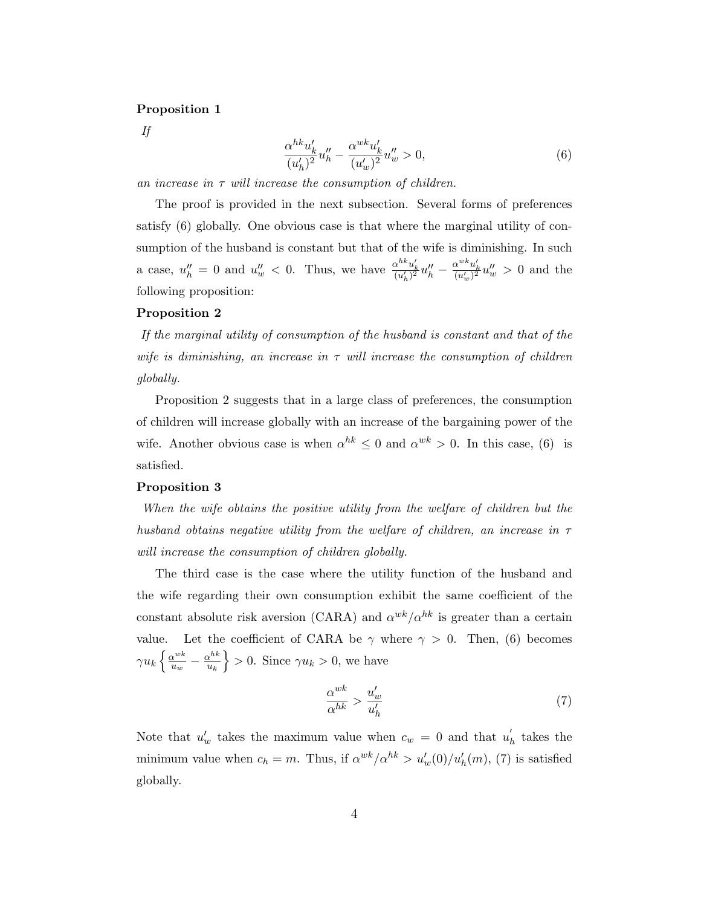#### Proposition 1

If

$$
\frac{\alpha^{hk} u'_k}{(u'_h)^2} u''_h - \frac{\alpha^{wk} u'_k}{(u'_w)^2} u''_w > 0,
$$
\n(6)

an increase in  $\tau$  will increase the consumption of children.

The proof is provided in the next subsection. Several forms of preferences satisfy (6) globally. One obvious case is that where the marginal utility of consumption of the husband is constant but that of the wife is diminishing. In such a case,  $u''_h = 0$  and  $u''_w < 0$ . Thus, we have  $\frac{\alpha^{hk} u'_k}{(u'_h)^2} u''_h - \frac{\alpha^{wk} u'_k}{(u'_w)^2} u''_w > 0$  and the following proposition:

#### Proposition 2

If the marginal utility of consumption of the husband is constant and that of the wife is diminishing, an increase in  $\tau$  will increase the consumption of children globally.

Proposition 2 suggests that in a large class of preferences, the consumption of children will increase globally with an increase of the bargaining power of the wife. Another obvious case is when  $\alpha^{hk} \leq 0$  and  $\alpha^{wk} > 0$ . In this case, (6) is satisfied.

#### Proposition 3

When the wife obtains the positive utility from the welfare of children but the husband obtains negative utility from the welfare of children, an increase in  $\tau$ will increase the consumption of children globally.

The third case is the case where the utility function of the husband and the wife regarding their own consumption exhibit the same coefficient of the constant absolute risk aversion (CARA) and  $\alpha^{wk}/\alpha^{hk}$  is greater than a certain value. Let the coefficient of CARA be  $\gamma$  where  $\gamma > 0$ . Then, (6) becomes  $\gamma u_k \left\{ \frac{\alpha^{wk}}{u_w} \right\}$  $\frac{\alpha^{wk}}{u_w} - \frac{\alpha^{hk}}{u_k}$  $\overline{u_k}$  $\geq 0$ . Since  $\gamma u_k > 0$ , we have

$$
\frac{\alpha^{wk}}{\alpha^{hk}} > \frac{u_w'}{u_h'}\tag{7}
$$

Note that  $u'_w$  takes the maximum value when  $c_w = 0$  and that  $u'_p$  $h$  takes the minimum value when  $c_h = m$ . Thus, if  $\alpha^{wk}/\alpha^{hk} > u_w'(0)/u_h'(m)$ , (7) is satisfied globally.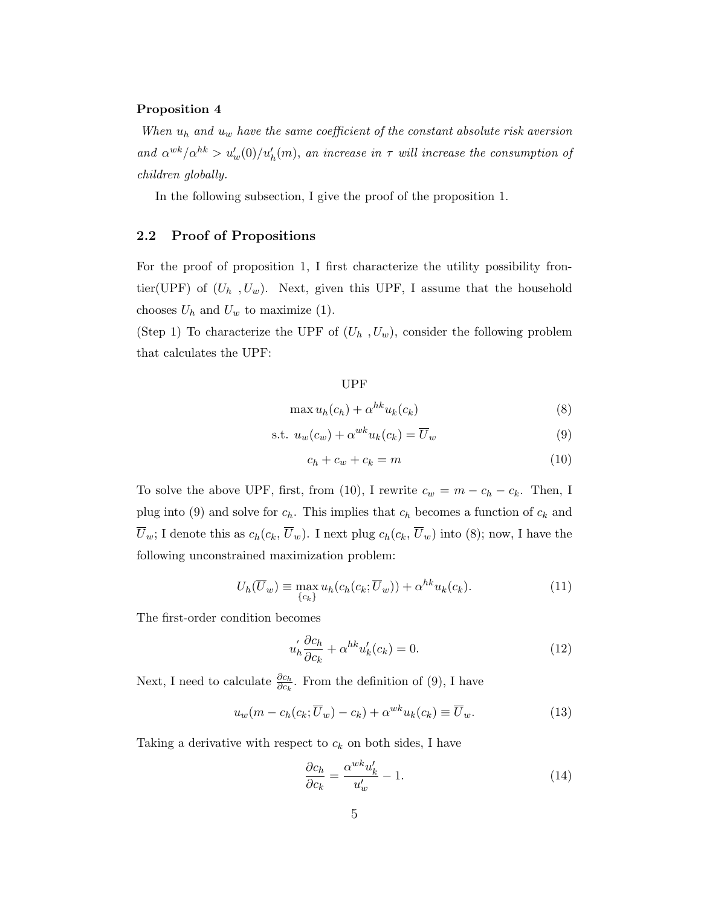#### Proposition 4

When  $u_h$  and  $u_w$  have the same coefficient of the constant absolute risk aversion and  $\alpha^{wk}/\alpha^{hk} > u'_w(0)/u'_h(m)$ , an increase in  $\tau$  will increase the consumption of children globally.

In the following subsection, I give the proof of the proposition 1.

#### 2.2 Proof of Propositions

For the proof of proposition 1, I first characterize the utility possibility frontier(UPF) of  $(U_h, U_w)$ . Next, given this UPF, I assume that the household chooses  $U_h$  and  $U_w$  to maximize (1).

(Step 1) To characterize the UPF of  $(U_h, U_w)$ , consider the following problem that calculates the UPF:

#### UPF

$$
\max u_h(c_h) + \alpha^{hk} u_k(c_k) \tag{8}
$$

$$
\text{s.t. } u_w(c_w) + \alpha^{wk} u_k(c_k) = \overline{U}_w \tag{9}
$$

$$
c_h + c_w + c_k = m \tag{10}
$$

To solve the above UPF, first, from (10), I rewrite  $c_w = m - c_h - c_k$ . Then, I plug into (9) and solve for  $c_h$ . This implies that  $c_h$  becomes a function of  $c_k$  and  $\overline{U}_w$ ; I denote this as  $c_h(c_k, \overline{U}_w)$ . I next plug  $c_h(c_k, \overline{U}_w)$  into (8); now, I have the following unconstrained maximization problem:

$$
U_h(\overline{U}_w) \equiv \max_{\{c_k\}} u_h(c_h(c_k; \overline{U}_w)) + \alpha^{hk} u_k(c_k). \tag{11}
$$

The first-order condition becomes

$$
u_h' \frac{\partial c_h}{\partial c_k} + \alpha^{hk} u_k'(c_k) = 0.
$$
\n(12)

Next, I need to calculate  $\frac{\partial c_h}{\partial c_k}$ . From the definition of (9), I have

$$
u_w(m - c_h(c_k; \overline{U}_w) - c_k) + \alpha^{wk} u_k(c_k) \equiv \overline{U}_w.
$$
\n(13)

Taking a derivative with respect to  $c_k$  on both sides, I have

$$
\frac{\partial c_h}{\partial c_k} = \frac{\alpha^{wk} u'_k}{u'_w} - 1.
$$
\n(14)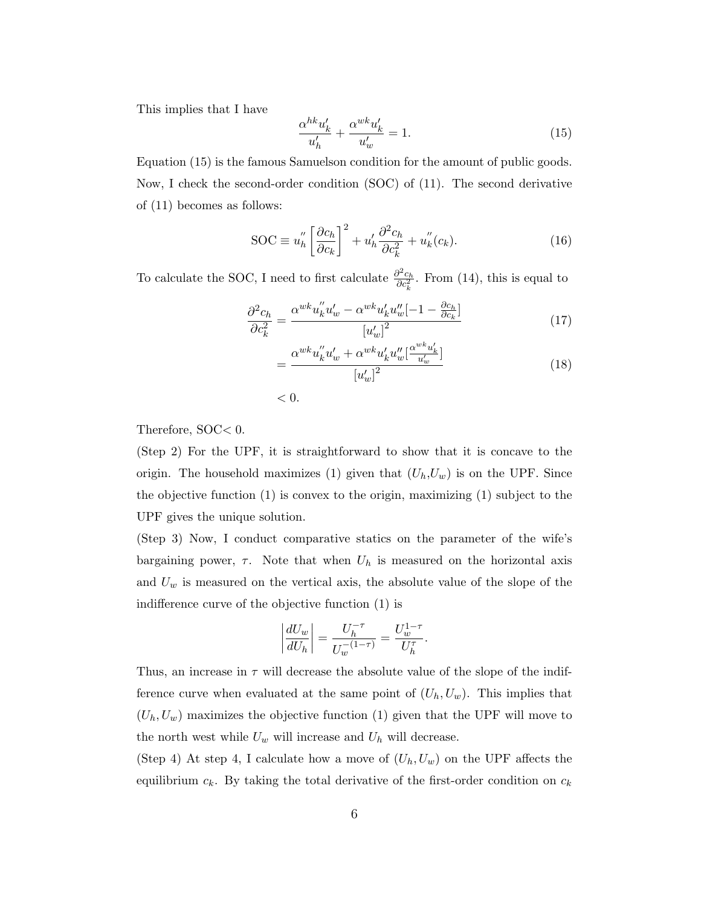This implies that I have

$$
\frac{\alpha^{hk} u'_k}{u'_h} + \frac{\alpha^{wk} u'_k}{u'_w} = 1.
$$
\n(15)

Equation (15) is the famous Samuelson condition for the amount of public goods. Now, I check the second-order condition (SOC) of (11). The second derivative of (11) becomes as follows:

$$
SOC \equiv u_h'' \left[ \frac{\partial c_h}{\partial c_k} \right]^2 + u_h' \frac{\partial^2 c_h}{\partial c_k^2} + u_h''(c_k). \tag{16}
$$

To calculate the SOC, I need to first calculate  $\frac{\partial^2 c_h}{\partial \sigma^2}$  $\frac{\partial^2 c_h}{\partial c_k^2}$ . From (14), this is equal to

$$
\frac{\partial^2 c_h}{\partial c_k^2} = \frac{\alpha^{wk} u_k'' u_w' - \alpha^{wk} u_k' u_w'' [-1 - \frac{\partial c_h}{\partial c_k}]}{[u_w']^2}
$$
(17)

$$
=\frac{\alpha^{wk}u_k''u_w'+\alpha^{wk}u_k'u_w''[\frac{\alpha^{wk}u_k'}{u_w'}]}{[u_w']^2}
$$
\n(18)

 $< 0.$ 

Therefore, SOC< 0.

(Step 2) For the UPF, it is straightforward to show that it is concave to the origin. The household maximizes (1) given that  $(U_h, U_w)$  is on the UPF. Since the objective function (1) is convex to the origin, maximizing (1) subject to the UPF gives the unique solution.

(Step 3) Now, I conduct comparative statics on the parameter of the wife's bargaining power,  $\tau$ . Note that when  $U_h$  is measured on the horizontal axis and  $U_w$  is measured on the vertical axis, the absolute value of the slope of the indifference curve of the objective function (1) is

$$
\left|\frac{dU_w}{dU_h}\right| = \frac{U_h^{-\tau}}{U_w^{-(1-\tau)}} = \frac{U_w^{1-\tau}}{U_h^{\tau}}.
$$

Thus, an increase in  $\tau$  will decrease the absolute value of the slope of the indifference curve when evaluated at the same point of  $(U_h, U_w)$ . This implies that  $(U_h, U_w)$  maximizes the objective function (1) given that the UPF will move to the north west while  $U_w$  will increase and  $U_h$  will decrease.

(Step 4) At step 4, I calculate how a move of  $(U_h, U_w)$  on the UPF affects the equilibrium  $c_k$ . By taking the total derivative of the first-order condition on  $c_k$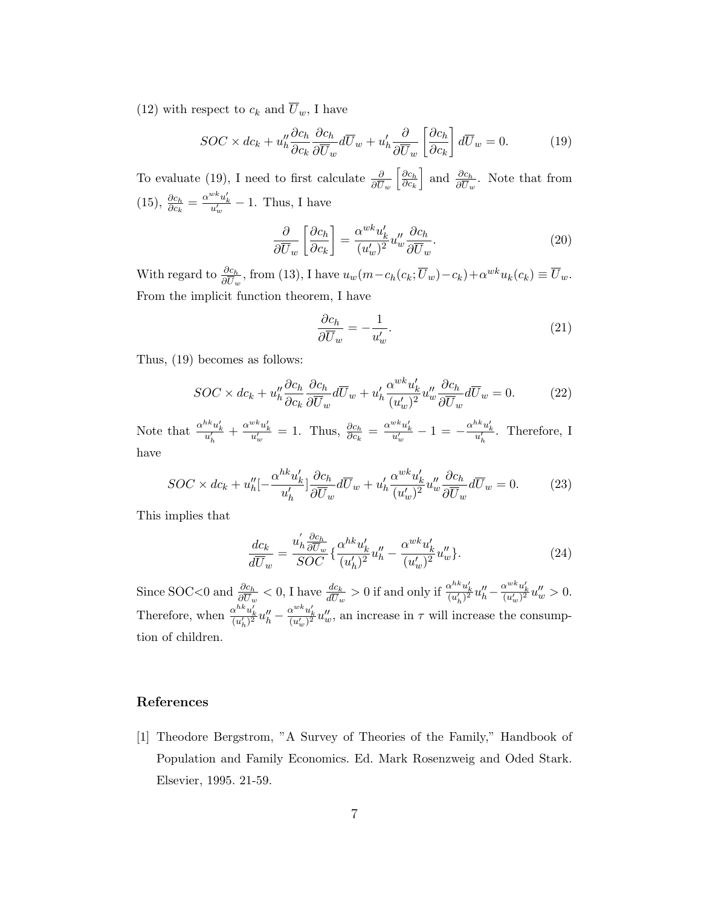(12) with respect to  $c_k$  and  $\overline{U}_w$ , I have

$$
SOC \times dc_k + u_h'' \frac{\partial c_h}{\partial c_k} \frac{\partial c_h}{\partial \overline{U}_w} d\overline{U}_w + u_h' \frac{\partial}{\partial \overline{U}_w} \left[ \frac{\partial c_h}{\partial c_k} \right] d\overline{U}_w = 0.
$$
 (19)

To evaluate (19), I need to first calculate  $\frac{\partial}{\partial \overline{U}_w}$  $\lceil \underline{\partial c_h} \rceil$  $\partial c_k$ ] and  $\frac{\partial c_h}{\partial \overline{U}_w}$ . Note that from (15),  $\frac{\partial c_h}{\partial c_k} = \frac{\alpha^{wk} u'_k}{u'_w} - 1$ . Thus, I have

$$
\frac{\partial}{\partial \overline{U}_w} \left[ \frac{\partial c_h}{\partial c_k} \right] = \frac{\alpha^{wk} u'_k}{(u'_w)^2} u''_w \frac{\partial c_h}{\partial \overline{U}_w}.
$$
\n(20)

With regard to  $\frac{\partial c_h}{\partial \overline{U}_w}$ , from (13), I have  $u_w(m-c_h(c_k;\overline{U}_w)-c_k)+\alpha^{wk}u_k(c_k)\equiv \overline{U}_w$ . From the implicit function theorem, I have

$$
\frac{\partial c_h}{\partial \overline{U}_w} = -\frac{1}{u'_w}.\tag{21}
$$

Thus, (19) becomes as follows:

$$
SOC \times dc_k + u''_h \frac{\partial c_h}{\partial c_k} \frac{\partial c_h}{\partial \overline{U}_w} d\overline{U}_w + u'_h \frac{\alpha^{wk} u'_k}{(u'_w)^2} u''_w \frac{\partial c_h}{\partial \overline{U}_w} d\overline{U}_w = 0.
$$
 (22)

Note that  $\frac{\alpha^{hk}u'_k}{u'_h} + \frac{\alpha^{wk}u'_k}{u'_w} = 1$ . Thus,  $\frac{\partial c_h}{\partial c_k} = \frac{\alpha^{wk}u'_k}{u'_w} - 1 = -\frac{\alpha^{hk}u'_k}{u'_h}$ . Therefore, I have

$$
SOC \times dc_k + u_h''[-\frac{\alpha^{hk} u_k'}{u_h'}]\frac{\partial c_h}{\partial \overline{U}_w}d\overline{U}_w + u_h' \frac{\alpha^{wk} u_k'}{(u_w')^2} u_w'' \frac{\partial c_h}{\partial \overline{U}_w}d\overline{U}_w = 0.
$$
 (23)

This implies that

$$
\frac{dc_k}{d\overline{U}_w} = \frac{u'_h \frac{\partial c_h}{\partial \overline{U}_w}}{SOC} \{ \frac{\alpha^{hk} u'_k}{(u'_h)^2} u''_h - \frac{\alpha^{wk} u'_k}{(u'_w)^2} u''_w \}. \tag{24}
$$

Since SOC<0 and  $\frac{\partial c_h}{\partial \overline{U}_w}$  < 0, I have  $\frac{dc_k}{d\overline{U}_w} > 0$  if and only if  $\frac{\alpha^{hk}u'_k}{(u'_h)^2}u''_h - \frac{\alpha^{wk}u'_k}{(u'_w)^2}u''_w > 0$ . Therefore, when  $\frac{\alpha^{hk}u'_k}{(u'_h)^2}u''_h - \frac{\alpha^{wk}u'_k}{(u'_w)^2}u''_w$ , an increase in  $\tau$  will increase the consumption of children.

#### References

[1] Theodore Bergstrom, "A Survey of Theories of the Family," Handbook of Population and Family Economics. Ed. Mark Rosenzweig and Oded Stark. Elsevier, 1995. 21-59.